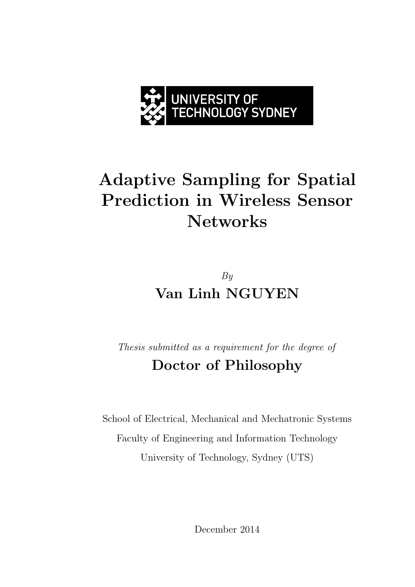

# **Adaptive Sampling for Spatial Prediction in Wireless Sensor Networks**

## By **Van Linh NGUYEN**

Thesis submitted as a requirement for the degree of **Doctor of Philosophy**

School of Electrical, Mechanical and Mechatronic Systems Faculty of Engineering and Information Technology University of Technology, Sydney (UTS)

December 2014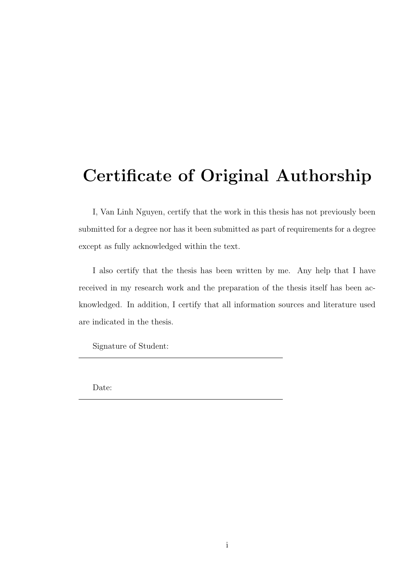## **Certificate of Original Authorship**

I, Van Linh Nguyen, certify that the work in this thesis has not previously been submitted for a degree nor has it been submitted as part of requirements for a degree except as fully acknowledged within the text.

I also certify that the thesis has been written by me. Any help that I have received in my research work and the preparation of the thesis itself has been acknowledged. In addition, I certify that all information sources and literature used are indicated in the thesis.

Signature of Student:

Date: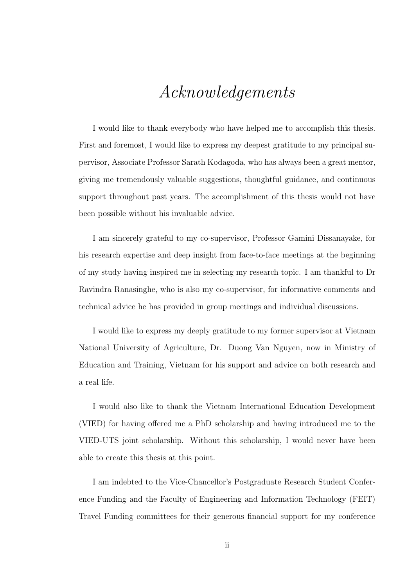## Acknowledgements

I would like to thank everybody who have helped me to accomplish this thesis. First and foremost, I would like to express my deepest gratitude to my principal supervisor, Associate Professor Sarath Kodagoda, who has always been a great mentor, giving me tremendously valuable suggestions, thoughtful guidance, and continuous support throughout past years. The accomplishment of this thesis would not have been possible without his invaluable advice.

I am sincerely grateful to my co-supervisor, Professor Gamini Dissanayake, for his research expertise and deep insight from face-to-face meetings at the beginning of my study having inspired me in selecting my research topic. I am thankful to Dr Ravindra Ranasinghe, who is also my co-supervisor, for informative comments and technical advice he has provided in group meetings and individual discussions.

I would like to express my deeply gratitude to my former supervisor at Vietnam National University of Agriculture, Dr. Duong Van Nguyen, now in Ministry of Education and Training, Vietnam for his support and advice on both research and a real life.

I would also like to thank the Vietnam International Education Development (VIED) for having offered me a PhD scholarship and having introduced me to the VIED-UTS joint scholarship. Without this scholarship, I would never have been able to create this thesis at this point.

I am indebted to the Vice-Chancellor's Postgraduate Research Student Conference Funding and the Faculty of Engineering and Information Technology (FEIT) Travel Funding committees for their generous financial support for my conference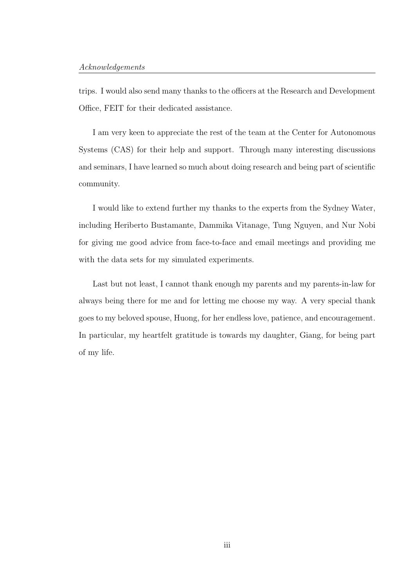#### Acknowledgements

trips. I would also send many thanks to the officers at the Research and Development Office, FEIT for their dedicated assistance.

I am very keen to appreciate the rest of the team at the Center for Autonomous Systems (CAS) for their help and support. Through many interesting discussions and seminars, I have learned so much about doing research and being part of scientific community.

I would like to extend further my thanks to the experts from the Sydney Water, including Heriberto Bustamante, Dammika Vitanage, Tung Nguyen, and Nur Nobi for giving me good advice from face-to-face and email meetings and providing me with the data sets for my simulated experiments.

Last but not least, I cannot thank enough my parents and my parents-in-law for always being there for me and for letting me choose my way. A very special thank goes to my beloved spouse, Huong, for her endless love, patience, and encouragement. In particular, my heartfelt gratitude is towards my daughter, Giang, for being part of my life.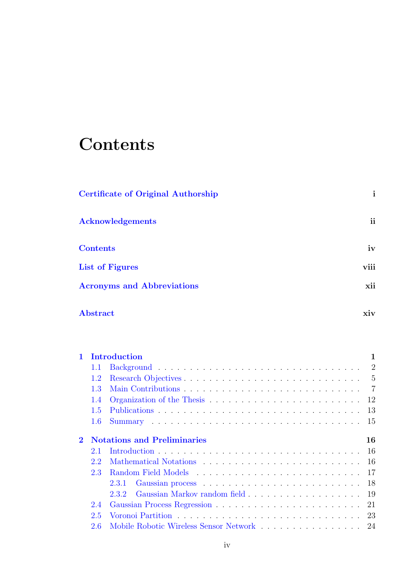# **Contents**

| <b>Certificate of Original Authorship</b> | $\mathbf{i}$ |
|-------------------------------------------|--------------|
| <b>Acknowledgements</b>                   | ii           |
| <b>Contents</b>                           | iv           |
| <b>List of Figures</b>                    | viii         |
| <b>Acronyms and Abbreviations</b>         | xii          |
| Abstract                                  | xiv          |

| $\mathbf{1}$ |         | Introduction                              | 1  |
|--------------|---------|-------------------------------------------|----|
|              | 1.1     |                                           |    |
|              | 1.2     |                                           |    |
|              | 1.3     |                                           |    |
|              | 1.4     |                                           |    |
|              | 1.5     |                                           |    |
|              | $1.6\,$ |                                           |    |
| $\bf{2}$     |         | <b>Notations and Preliminaries</b>        | 16 |
|              | 2.1     |                                           |    |
|              | 2.2     |                                           |    |
|              | 2.3     |                                           |    |
|              |         |                                           |    |
|              |         |                                           |    |
|              | 2.4     |                                           |    |
|              | 2.5     |                                           |    |
|              | 2.6     | Mobile Robotic Wireless Sensor Network 24 |    |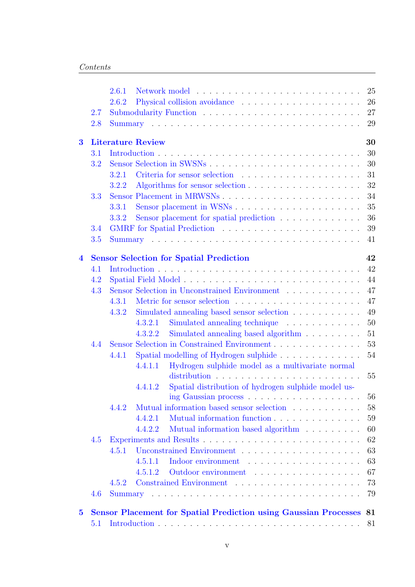|                         |     | 25<br>2.6.1                                                                                                            |
|-------------------------|-----|------------------------------------------------------------------------------------------------------------------------|
|                         |     | 26<br>2.6.2                                                                                                            |
|                         | 2.7 | 27                                                                                                                     |
|                         | 2.8 | 29                                                                                                                     |
| $\bf{3}$                |     | 30<br><b>Literature Review</b>                                                                                         |
|                         | 3.1 | 30                                                                                                                     |
|                         | 3.2 | 30                                                                                                                     |
|                         |     | 31<br>3.2.1                                                                                                            |
|                         |     | 32<br>3.2.2                                                                                                            |
|                         | 3.3 | Sensor Placement in MRWSNs<br>34                                                                                       |
|                         |     | 35<br>3.3.1                                                                                                            |
|                         |     | Sensor placement for spatial prediction<br>36<br>3.3.2                                                                 |
|                         | 3.4 | 39                                                                                                                     |
|                         | 3.5 | 41                                                                                                                     |
| $\overline{\mathbf{4}}$ |     | 42<br><b>Sensor Selection for Spatial Prediction</b>                                                                   |
|                         | 4.1 | 42                                                                                                                     |
|                         | 4.2 | 44                                                                                                                     |
|                         | 4.3 | 47<br>Sensor Selection in Unconstrained Environment                                                                    |
|                         |     | 47<br>4.3.1                                                                                                            |
|                         |     | 49<br>Simulated annealing based sensor selection<br>4.3.2                                                              |
|                         |     | 50<br>Simulated annealing technique<br>4.3.2.1<br>$\mathcal{A}$ , and a set of the set of the set of the $\mathcal{A}$ |
|                         |     | Simulated annealing based algorithm<br>51<br>4.3.2.2                                                                   |
|                         | 4.4 | 53<br>Sensor Selection in Constrained Environment                                                                      |
|                         |     | 54<br>4.4.1                                                                                                            |
|                         |     | Hydrogen sulphide model as a multivariate normal<br>4.4.1.1                                                            |
|                         |     | 55                                                                                                                     |
|                         |     | Spatial distribution of hydrogen sulphide model us-<br>4.4.1.2                                                         |
|                         |     | 56                                                                                                                     |
|                         |     | 58<br>Mutual information based sensor selection<br>4.4.2                                                               |
|                         |     | Mutual information function<br>59<br>4.4.2.1                                                                           |
|                         |     | Mutual information based algorithm<br>60<br>4.4.2.2                                                                    |
|                         | 4.5 | 62                                                                                                                     |
|                         |     | 63<br>4.5.1                                                                                                            |
|                         |     | 63<br>Indoor environment<br>4.5.1.1                                                                                    |
|                         |     | 67<br>Outdoor environment<br>4.5.1.2                                                                                   |
|                         |     | 73<br>4.5.2                                                                                                            |
|                         | 4.6 | 79                                                                                                                     |
| $\bf{5}$                |     | <b>Sensor Placement for Spatial Prediction using Gaussian Processes</b><br>-81                                         |
|                         | 5.1 | 81                                                                                                                     |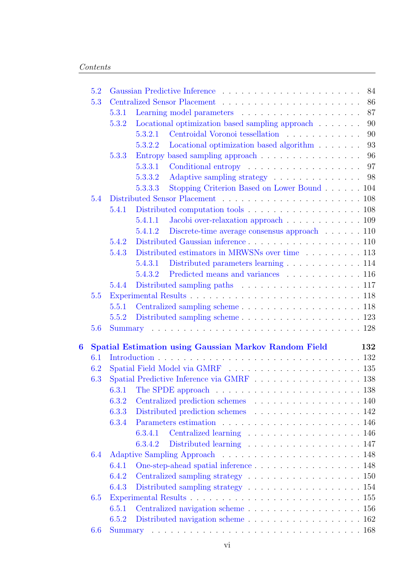|   | 5.2 |       |                                                                                                                                                                                                                               | 84  |
|---|-----|-------|-------------------------------------------------------------------------------------------------------------------------------------------------------------------------------------------------------------------------------|-----|
|   | 5.3 |       |                                                                                                                                                                                                                               | 86  |
|   |     | 5.3.1 |                                                                                                                                                                                                                               | 87  |
|   |     | 5.3.2 | Locational optimization based sampling approach                                                                                                                                                                               | 90  |
|   |     |       | Centroidal Voronoi tessellation<br>5.3.2.1                                                                                                                                                                                    | 90  |
|   |     |       | Locational optimization based algorithm<br>5.3.2.2                                                                                                                                                                            | 93  |
|   |     | 5.3.3 | Entropy based sampling approach                                                                                                                                                                                               | 96  |
|   |     |       | 5.3.3.1                                                                                                                                                                                                                       | 97  |
|   |     |       | Adaptive sampling strategy 98<br>5.3.3.2                                                                                                                                                                                      |     |
|   |     |       | Stopping Criterion Based on Lower Bound 104<br>5.3.3.3                                                                                                                                                                        |     |
|   | 5.4 |       |                                                                                                                                                                                                                               |     |
|   |     | 5.4.1 | Distributed computation tools 108                                                                                                                                                                                             |     |
|   |     |       | Jacobi over-relaxation approach 109<br>5.4.1.1                                                                                                                                                                                |     |
|   |     |       | Discrete-time average consensus approach $\dots \dots 110$<br>5.4.1.2                                                                                                                                                         |     |
|   |     | 5.4.2 | Distributed Gaussian inference $\dots \dots \dots \dots \dots \dots \dots \dots \dots 110$                                                                                                                                    |     |
|   |     | 5.4.3 | Distributed estimators in MRWSNs over time 113                                                                                                                                                                                |     |
|   |     |       | Distributed parameters learning 114<br>5.4.3.1                                                                                                                                                                                |     |
|   |     |       | Predicted means and variances 116<br>5.4.3.2                                                                                                                                                                                  |     |
|   |     | 5.4.4 |                                                                                                                                                                                                                               |     |
|   | 5.5 |       |                                                                                                                                                                                                                               |     |
|   |     | 5.5.1 |                                                                                                                                                                                                                               |     |
|   |     | 5.5.2 |                                                                                                                                                                                                                               |     |
|   | 5.6 |       |                                                                                                                                                                                                                               |     |
| 6 |     |       | <b>Spatial Estimation using Gaussian Markov Random Field</b>                                                                                                                                                                  | 132 |
|   | 6.1 |       |                                                                                                                                                                                                                               |     |
|   | 6.2 |       |                                                                                                                                                                                                                               |     |
|   | 6.3 |       | Spatial Predictive Inference via GMRF 138                                                                                                                                                                                     |     |
|   |     | 6.3.1 | The SPDE approach $\dots \dots \dots \dots \dots \dots \dots \dots \dots \dots \dots 138$                                                                                                                                     |     |
|   |     | 6.3.2 | Centralized prediction schemes 140                                                                                                                                                                                            |     |
|   |     | 6.3.3 | Distributed prediction schemes 142                                                                                                                                                                                            |     |
|   |     | 6.3.4 |                                                                                                                                                                                                                               |     |
|   |     |       | Centralized learning 146<br>6.3.4.1                                                                                                                                                                                           |     |
|   |     |       | Distributed learning 147<br>6.3.4.2                                                                                                                                                                                           |     |
|   | 6.4 |       |                                                                                                                                                                                                                               |     |
|   |     | 6.4.1 |                                                                                                                                                                                                                               |     |
|   |     | 6.4.2 | Centralized sampling strategy expansion of the state of the state of the state of the state of the state of the state of the state of the state of the state of the state of the state of the state of the state of the state |     |
|   |     | 6.4.3 | Distributed sampling strategy $\dots \dots \dots \dots \dots \dots \dots \dots \dots \dots \dots 154$                                                                                                                         |     |
|   | 6.5 |       |                                                                                                                                                                                                                               |     |
|   |     | 6.5.1 |                                                                                                                                                                                                                               |     |
|   |     | 6.5.2 |                                                                                                                                                                                                                               |     |
|   | 6.6 |       |                                                                                                                                                                                                                               |     |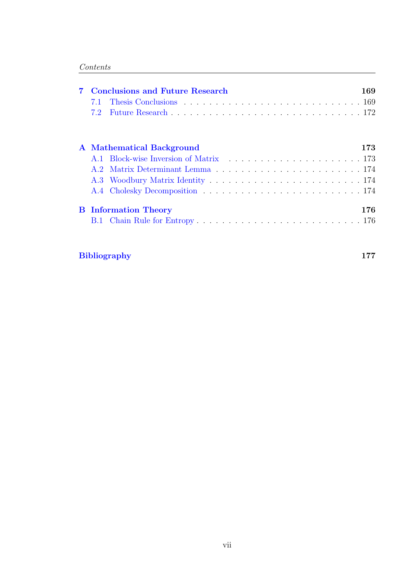|  | <b>Conclusions and Future Research</b> | 169 |
|--|----------------------------------------|-----|
|  | A Mathematical Background              | 173 |
|  |                                        |     |
|  | <b>B</b> Information Theory            | 176 |

### **Bibliography 177**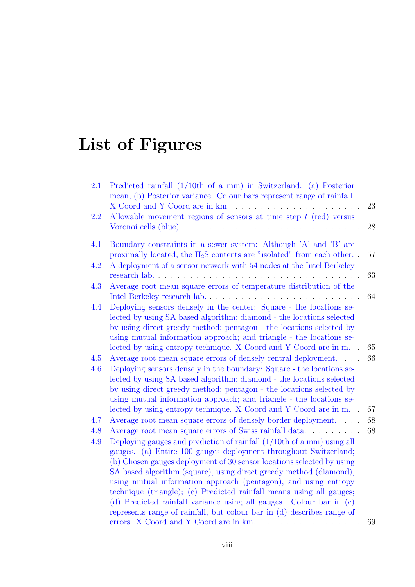# **List of Figures**

| 2.1        | Predicted rainfall $(1/10th$ of a mm) in Switzerland: (a) Posterior<br>mean, (b) Posterior variance. Colour bars represent range of rainfall.<br>X Coord and Y Coord are in km.                                                                                                                                                                                                                                                                                                                                                                                                                                                                   | 23 |
|------------|---------------------------------------------------------------------------------------------------------------------------------------------------------------------------------------------------------------------------------------------------------------------------------------------------------------------------------------------------------------------------------------------------------------------------------------------------------------------------------------------------------------------------------------------------------------------------------------------------------------------------------------------------|----|
| 2.2        | Allowable movement regions of sensors at time step $t$ (red) versus<br>Voronoi cells (blue)                                                                                                                                                                                                                                                                                                                                                                                                                                                                                                                                                       | 28 |
| 4.1        | Boundary constraints in a sewer system: Although 'A' and 'B' are<br>proximally located, the $H_2S$ contents are "isolated" from each other                                                                                                                                                                                                                                                                                                                                                                                                                                                                                                        | 57 |
| 4.2        | A deployment of a sensor network with 54 nodes at the Intel Berkeley<br>research lab                                                                                                                                                                                                                                                                                                                                                                                                                                                                                                                                                              | 63 |
| 4.3        | Average root mean square errors of temperature distribution of the<br>Intel Berkeley research lab<br>.                                                                                                                                                                                                                                                                                                                                                                                                                                                                                                                                            | 64 |
| 4.4        | Deploying sensors densely in the center: Square - the locations se-<br>lected by using SA based algorithm; diamond - the locations selected<br>by using direct greedy method; pentagon - the locations selected by<br>using mutual information approach; and triangle - the locations se-<br>lected by using entropy technique. X Coord and Y Coord are in m.                                                                                                                                                                                                                                                                                     | 65 |
| 4.5        | Average root mean square errors of densely central deployment.                                                                                                                                                                                                                                                                                                                                                                                                                                                                                                                                                                                    | 66 |
| 4.6        | Deploying sensors densely in the boundary: Square - the locations se-<br>lected by using SA based algorithm; diamond - the locations selected<br>by using direct greedy method; pentagon - the locations selected by<br>using mutual information approach; and triangle - the locations se-                                                                                                                                                                                                                                                                                                                                                       |    |
|            | lected by using entropy technique. X Coord and Y Coord are in m.                                                                                                                                                                                                                                                                                                                                                                                                                                                                                                                                                                                  | 67 |
| 4.7        | Average root mean square errors of densely border deployment                                                                                                                                                                                                                                                                                                                                                                                                                                                                                                                                                                                      | 68 |
| 4.8<br>4.9 | Average root mean square errors of Swiss rainfall data<br>Deploying gauges and prediction of rainfall $(1/10th)$ of a mm using all<br>gauges. (a) Entire 100 gauges deployment throughout Switzerland;<br>(b) Chosen gauges deployment of 30 sensor locations selected by using<br>SA based algorithm (square), using direct greedy method (diamond),<br>using mutual information approach (pentagon), and using entropy<br>technique (triangle); (c) Predicted rainfall means using all gauges;<br>(d) Predicted rainfall variance using all gauges. Colour bar in (c)<br>represents range of rainfall, but colour bar in (d) describes range of | 68 |
|            | errors. X Coord and Y Coord are in km.                                                                                                                                                                                                                                                                                                                                                                                                                                                                                                                                                                                                            | 69 |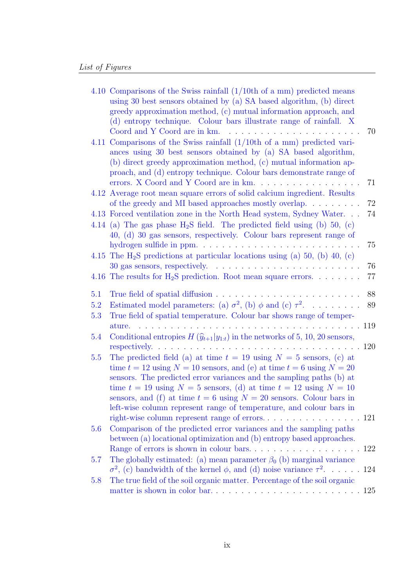|     | 4.10 Comparisons of the Swiss rainfall $(1/10th)$ of a mm predicted means<br>using 30 best sensors obtained by (a) SA based algorithm, (b) direct<br>greedy approximation method, (c) mutual information approach, and<br>(d) entropy technique. Colour bars illustrate range of rainfall. X<br>Coord and Y Coord are in km.<br>.                                                                                                                            | 70  |
|-----|--------------------------------------------------------------------------------------------------------------------------------------------------------------------------------------------------------------------------------------------------------------------------------------------------------------------------------------------------------------------------------------------------------------------------------------------------------------|-----|
|     | 4.11 Comparisons of the Swiss rainfall $(1/10th$ of a mm) predicted vari-<br>ances using 30 best sensors obtained by (a) SA based algorithm,<br>(b) direct greedy approximation method, (c) mutual information ap-<br>proach, and (d) entropy technique. Colour bars demonstrate range of<br>errors. X Coord and Y Coord are in km.                                                                                                                          | 71  |
|     | 4.12 Average root mean square errors of solid calcium ingredient. Results<br>of the greedy and MI based approaches mostly overlap. $\dots \dots$                                                                                                                                                                                                                                                                                                             | 72  |
|     | 4.13 Forced ventilation zone in the North Head system, Sydney Water<br>4.14 (a) The gas phase $H_2S$ field. The predicted field using (b) 50, (c)<br>40, (d) 30 gas sensors, respectively. Colour bars represent range of                                                                                                                                                                                                                                    | 74  |
|     | hydrogen sulfide in ppm                                                                                                                                                                                                                                                                                                                                                                                                                                      | 75  |
|     | 4.15 The $H_2S$ predictions at particular locations using (a) 50, (b) 40, (c)<br>$30$ gas sensors, respectively. $\dots \dots \dots \dots \dots \dots \dots \dots$                                                                                                                                                                                                                                                                                           | 76  |
|     | 4.16 The results for $H_2S$ prediction. Root mean square errors.                                                                                                                                                                                                                                                                                                                                                                                             | 77  |
| 5.1 |                                                                                                                                                                                                                                                                                                                                                                                                                                                              | 88  |
| 5.2 | Estimated model parameters: (a) $\sigma^2$ , (b) $\phi$ and (c) $\tau^2$ .                                                                                                                                                                                                                                                                                                                                                                                   | 89  |
| 5.3 | True field of spatial temperature. Colour bar shows range of temper-<br>ature.                                                                                                                                                                                                                                                                                                                                                                               |     |
| 5.4 | Conditional entropies $H(\hat{y}_{t+1} y_{1:t})$ in the networks of 5, 10, 20 sensors,                                                                                                                                                                                                                                                                                                                                                                       | 120 |
| 5.5 | The predicted field (a) at time $t = 19$ using $N = 5$ sensors, (c) at<br>time $t = 12$ using $N = 10$ sensors, and (e) at time $t = 6$ using $N = 20$<br>sensors. The predicted error variances and the sampling paths (b) at<br>time $t = 19$ using $N = 5$ sensors, (d) at time $t = 12$ using $N = 10$<br>sensors, and (f) at time $t = 6$ using $N = 20$ sensors. Colour bars in<br>left-wise column represent range of temperature, and colour bars in |     |
|     |                                                                                                                                                                                                                                                                                                                                                                                                                                                              |     |
| 5.6 | Comparison of the predicted error variances and the sampling paths<br>between (a) locational optimization and (b) entropy based approaches.                                                                                                                                                                                                                                                                                                                  |     |
|     |                                                                                                                                                                                                                                                                                                                                                                                                                                                              |     |
| 5.7 | The globally estimated: (a) mean parameter $\beta_0$ (b) marginal variance                                                                                                                                                                                                                                                                                                                                                                                   |     |
|     | $\sigma^2$ , (c) bandwidth of the kernel $\phi$ , and (d) noise variance $\tau^2$                                                                                                                                                                                                                                                                                                                                                                            | 124 |
| 5.8 | The true field of the soil organic matter. Percentage of the soil organic                                                                                                                                                                                                                                                                                                                                                                                    |     |
|     |                                                                                                                                                                                                                                                                                                                                                                                                                                                              |     |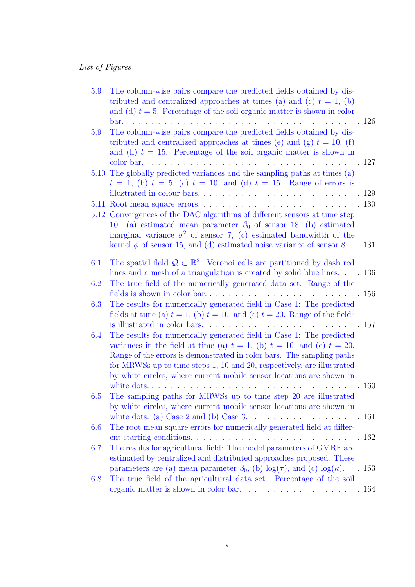| 5.9     | The column-wise pairs compare the predicted fields obtained by dis-<br>tributed and centralized approaches at times (a) and (c) $t = 1$ , (b)<br>and (d) $t = 5$ . Percentage of the soil organic matter is shown in color<br>$bar.$ $\ldots$ $\ldots$                                                                                                                                                                                                                                              |      |
|---------|-----------------------------------------------------------------------------------------------------------------------------------------------------------------------------------------------------------------------------------------------------------------------------------------------------------------------------------------------------------------------------------------------------------------------------------------------------------------------------------------------------|------|
| 5.9     | The column-wise pairs compare the predicted fields obtained by dis-<br>tributed and centralized approaches at times (e) and (g) $t = 10$ , (f)<br>and (h) $t = 15$ . Percentage of the soil organic matter is shown in                                                                                                                                                                                                                                                                              | .127 |
|         | 5.10 The globally predicted variances and the sampling paths at times (a)<br>$t = 1$ , (b) $t = 5$ , (c) $t = 10$ , and (d) $t = 15$ . Range of errors is                                                                                                                                                                                                                                                                                                                                           |      |
|         | 5.12 Convergences of the DAC algorithms of different sensors at time step<br>10: (a) estimated mean parameter $\beta_0$ of sensor 18, (b) estimated<br>marginal variance $\sigma^2$ of sensor 7, (c) estimated bandwidth of the                                                                                                                                                                                                                                                                     |      |
|         | kernel $\phi$ of sensor 15, and (d) estimated noise variance of sensor 8. 131                                                                                                                                                                                                                                                                                                                                                                                                                       |      |
| 6.1     | The spatial field $\mathcal{Q} \subset \mathbb{R}^2$ . Voronoi cells are partitioned by dash red<br>lines and a mesh of a triangulation is created by solid blue lines. $\ldots$ 136                                                                                                                                                                                                                                                                                                                |      |
| 6.2     | The true field of the numerically generated data set. Range of the                                                                                                                                                                                                                                                                                                                                                                                                                                  |      |
| 6.3     | The results for numerically generated field in Case 1: The predicted<br>fields at time (a) $t = 1$ , (b) $t = 10$ , and (c) $t = 20$ . Range of the fields                                                                                                                                                                                                                                                                                                                                          |      |
| 6.4     | The results for numerically generated field in Case 1: The predicted<br>variances in the field at time (a) $t = 1$ , (b) $t = 10$ , and (c) $t = 20$ .<br>Range of the errors is demonstrated in color bars. The sampling paths<br>for MRWSs up to time steps 1, 10 and 20, respectively, are illustrated<br>by white circles, where current mobile sensor locations are shown in                                                                                                                   |      |
| $6.5\,$ | white $\frac{1}{100}$ $\frac{1}{100}$ $\frac{1}{100}$ $\frac{1}{100}$ $\frac{1}{100}$ $\frac{1}{100}$ $\frac{1}{100}$ $\frac{1}{100}$ $\frac{1}{100}$ $\frac{1}{100}$ $\frac{1}{100}$ $\frac{1}{100}$ $\frac{1}{100}$ $\frac{1}{100}$ $\frac{1}{100}$ $\frac{1}{100}$ $\frac{1}{100}$ $\frac{1}{100}$<br>$\ldots$ . 160<br>$\mathbf{L}$ and $\mathbf{L}$<br>The sampling paths for MRWSs up to time step 20 are illustrated<br>by white circles, where current mobile sensor locations are shown in |      |
|         |                                                                                                                                                                                                                                                                                                                                                                                                                                                                                                     |      |
| 6.6     | The root mean square errors for numerically generated field at differ-                                                                                                                                                                                                                                                                                                                                                                                                                              |      |
| 6.7     | The results for agricultural field: The model parameters of GMRF are<br>estimated by centralized and distributed approaches proposed. These                                                                                                                                                                                                                                                                                                                                                         |      |
|         | parameters are (a) mean parameter $\beta_0$ , (b) $\log(\tau)$ , and (c) $\log(\kappa)$ . 163                                                                                                                                                                                                                                                                                                                                                                                                       |      |
| 6.8     | The true field of the agricultural data set. Percentage of the soil<br>organic matter is shown in color bar. $\ldots \ldots \ldots \ldots \ldots \ldots \ldots 164$                                                                                                                                                                                                                                                                                                                                 |      |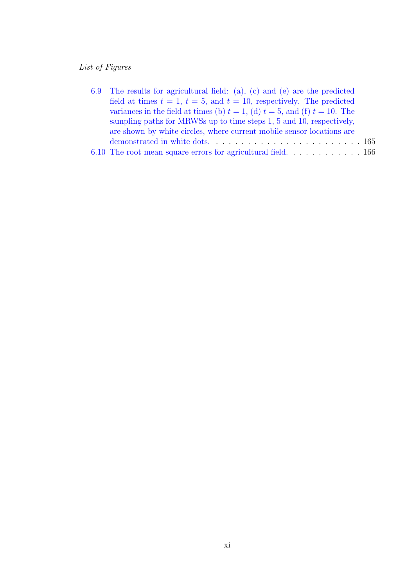| 6.9 The results for agricultural field: (a), (c) and (e) are the predicted         |
|------------------------------------------------------------------------------------|
| field at times $t = 1$ , $t = 5$ , and $t = 10$ , respectively. The predicted      |
| variances in the field at times (b) $t = 1$ , (d) $t = 5$ , and (f) $t = 10$ . The |
| sampling paths for MRWSs up to time steps 1, 5 and 10, respectively,               |
| are shown by white circles, where current mobile sensor locations are              |
| demonstrated in white dots.                                                        |
|                                                                                    |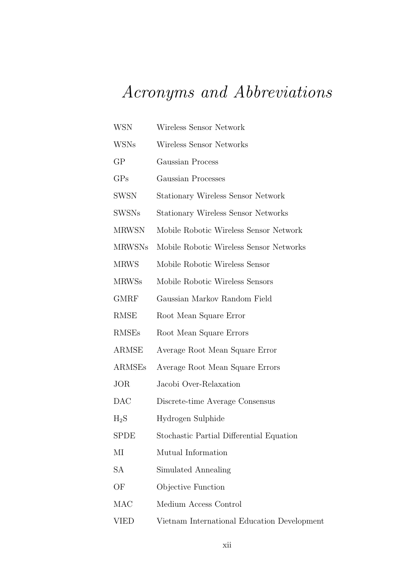# Acronyms and Abbreviations

| <b>WSN</b>    | Wireless Sensor Network                     |
|---------------|---------------------------------------------|
| <b>WSNs</b>   | Wireless Sensor Networks                    |
| GP            | Gaussian Process                            |
| GPs           | Gaussian Processes                          |
| <b>SWSN</b>   | <b>Stationary Wireless Sensor Network</b>   |
| <b>SWSNs</b>  | <b>Stationary Wireless Sensor Networks</b>  |
| <b>MRWSN</b>  | Mobile Robotic Wireless Sensor Network      |
| <b>MRWSNs</b> | Mobile Robotic Wireless Sensor Networks     |
| <b>MRWS</b>   | Mobile Robotic Wireless Sensor              |
| <b>MRWSs</b>  | Mobile Robotic Wireless Sensors             |
| <b>GMRF</b>   | Gaussian Markov Random Field                |
| RMSE          | Root Mean Square Error                      |
| <b>RMSEs</b>  | Root Mean Square Errors                     |
| ARMSE         | Average Root Mean Square Error              |
| ARMSEs        | Average Root Mean Square Errors             |
| <b>JOR</b>    | Jacobi Over-Relaxation                      |
| DAC           | Discrete-time Average Consensus             |
| $_{\rm H_2S}$ | Hydrogen Sulphide                           |
| <b>SPDE</b>   | Stochastic Partial Differential Equation    |
| МI            | Mutual Information                          |
| SA            | Simulated Annealing                         |
| OF            | Objective Function                          |
| MAC           | Medium Access Control                       |
| <b>VIED</b>   | Vietnam International Education Development |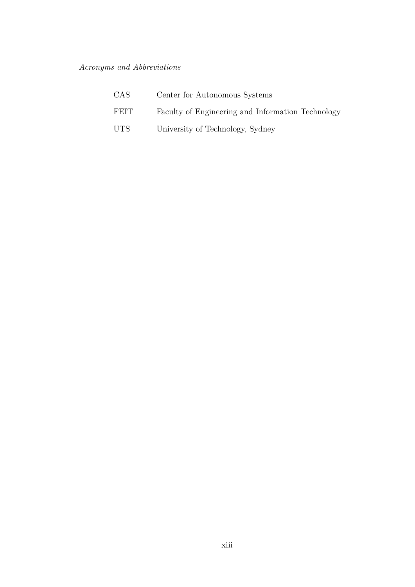| CAS.        | Center for Autonomous Systems                     |
|-------------|---------------------------------------------------|
| <b>FEIT</b> | Faculty of Engineering and Information Technology |
| UTS.        | University of Technology, Sydney                  |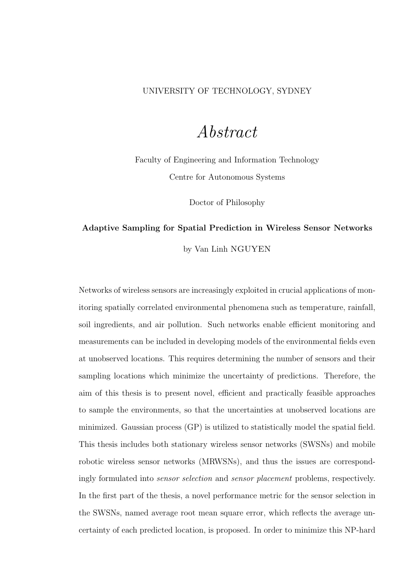#### UNIVERSITY OF TECHNOLOGY, SYDNEY

### Abstract

Faculty of Engineering and Information Technology Centre for Autonomous Systems

Doctor of Philosophy

### **Adaptive Sampling for Spatial Prediction in Wireless Sensor Networks** by Van Linh NGUYEN

Networks of wireless sensors are increasingly exploited in crucial applications of monitoring spatially correlated environmental phenomena such as temperature, rainfall, soil ingredients, and air pollution. Such networks enable efficient monitoring and measurements can be included in developing models of the environmental fields even at unobserved locations. This requires determining the number of sensors and their sampling locations which minimize the uncertainty of predictions. Therefore, the aim of this thesis is to present novel, efficient and practically feasible approaches to sample the environments, so that the uncertainties at unobserved locations are minimized. Gaussian process (GP) is utilized to statistically model the spatial field. This thesis includes both stationary wireless sensor networks (SWSNs) and mobile robotic wireless sensor networks (MRWSNs), and thus the issues are correspondingly formulated into sensor selection and sensor placement problems, respectively. In the first part of the thesis, a novel performance metric for the sensor selection in the SWSNs, named average root mean square error, which reflects the average uncertainty of each predicted location, is proposed. In order to minimize this NP-hard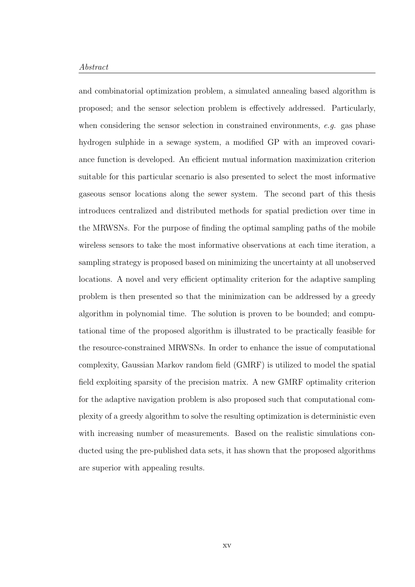#### Abstract

and combinatorial optimization problem, a simulated annealing based algorithm is proposed; and the sensor selection problem is effectively addressed. Particularly, when considering the sensor selection in constrained environments, e.g. gas phase hydrogen sulphide in a sewage system, a modified GP with an improved covariance function is developed. An efficient mutual information maximization criterion suitable for this particular scenario is also presented to select the most informative gaseous sensor locations along the sewer system. The second part of this thesis introduces centralized and distributed methods for spatial prediction over time in the MRWSNs. For the purpose of finding the optimal sampling paths of the mobile wireless sensors to take the most informative observations at each time iteration, a sampling strategy is proposed based on minimizing the uncertainty at all unobserved locations. A novel and very efficient optimality criterion for the adaptive sampling problem is then presented so that the minimization can be addressed by a greedy algorithm in polynomial time. The solution is proven to be bounded; and computational time of the proposed algorithm is illustrated to be practically feasible for the resource-constrained MRWSNs. In order to enhance the issue of computational complexity, Gaussian Markov random field (GMRF) is utilized to model the spatial field exploiting sparsity of the precision matrix. A new GMRF optimality criterion for the adaptive navigation problem is also proposed such that computational complexity of a greedy algorithm to solve the resulting optimization is deterministic even with increasing number of measurements. Based on the realistic simulations conducted using the pre-published data sets, it has shown that the proposed algorithms are superior with appealing results.